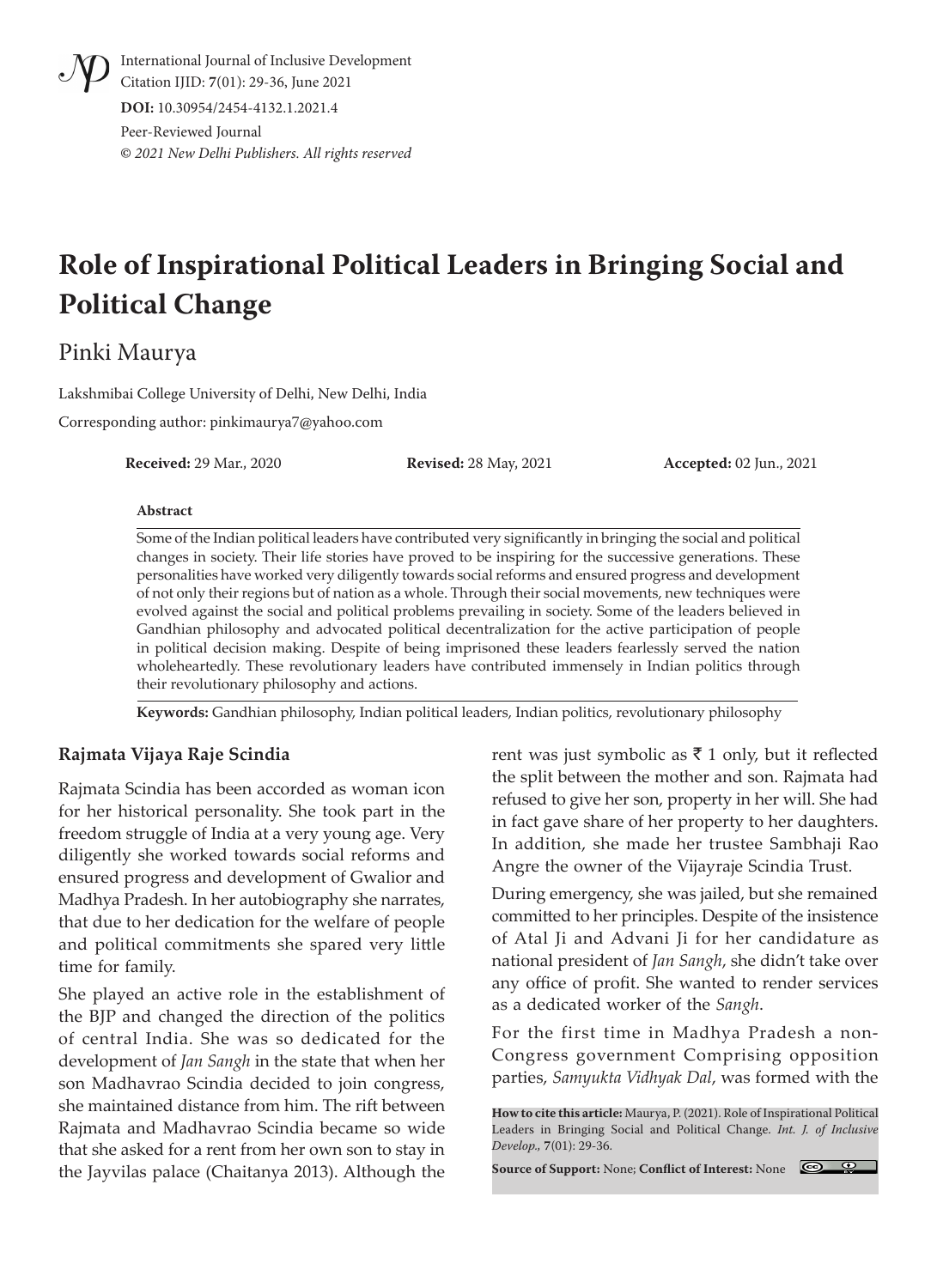International Journal of Inclusive Development Citation IJID: **7**(01): 29-36, June 2021 **DOI:** 10.30954/2454-4132.1.2021.4 Peer-Reviewed Journal

**©** *2021 New Delhi Publishers. All rights reserved*

# **Role of Inspirational Political Leaders in Bringing Social and Political Change**

## Pinki Maurya

Lakshmibai College University of Delhi, New Delhi, India

Corresponding author: pinkimaurya7@yahoo.com

**Received:** 29 Mar., 2020 **Revised:** 28 May, 2021 **Accepted:** 02 Jun., 2021

#### **Abstract**

Some of the Indian political leaders have contributed very significantly in bringing the social and political changes in society. Their life stories have proved to be inspiring for the successive generations. These personalities have worked very diligently towards social reforms and ensured progress and development of not only their regions but of nation as a whole. Through their social movements, new techniques were evolved against the social and political problems prevailing in society. Some of the leaders believed in Gandhian philosophy and advocated political decentralization for the active participation of people in political decision making. Despite of being imprisoned these leaders fearlessly served the nation wholeheartedly. These revolutionary leaders have contributed immensely in Indian politics through their revolutionary philosophy and actions.

**Keywords:** Gandhian philosophy, Indian political leaders, Indian politics, revolutionary philosophy

#### **Rajmata Vijaya Raje Scindia**

Rajmata Scindia has been accorded as woman icon for her historical personality. She took part in the freedom struggle of India at a very young age. Very diligently she worked towards social reforms and ensured progress and development of Gwalior and Madhya Pradesh. In her autobiography she narrates, that due to her dedication for the welfare of people and political commitments she spared very little time for family.

She played an active role in the establishment of the BJP and changed the direction of the politics of central India. She was so dedicated for the development of *Jan Sangh* in the state that when her son Madhavrao Scindia decided to join congress, she maintained distance from him. The rift between Rajmata and Madhavrao Scindia became so wide that she asked for a rent from her own son to stay in the Jayvilas palace (Chaitanya 2013). Although the rent was just symbolic as  $\bar{\tau}$  1 only, but it reflected the split between the mother and son. Rajmata had refused to give her son, property in her will. She had in fact gave share of her property to her daughters. In addition, she made her trustee Sambhaji Rao Angre the owner of the Vijayraje Scindia Trust.

During emergency, she was jailed, but she remained committed to her principles. Despite of the insistence of Atal Ji and Advani Ji for her candidature as national president of *Jan Sangh*, she didn't take over any office of profit. She wanted to render services as a dedicated worker of the *Sangh*.

For the first time in Madhya Pradesh a non-Congress government Comprising opposition parties, *Samyukta Vidhyak Dal*, was formed with the

**How to cite this article:** Maurya, P. (2021). Role of Inspirational Political Leaders in Bringing Social and Political Change. *Int. J. of Inclusive Develop.,* **7**(01): 29-36.

**Source of Support:** None; **Conflict of Interest:** None

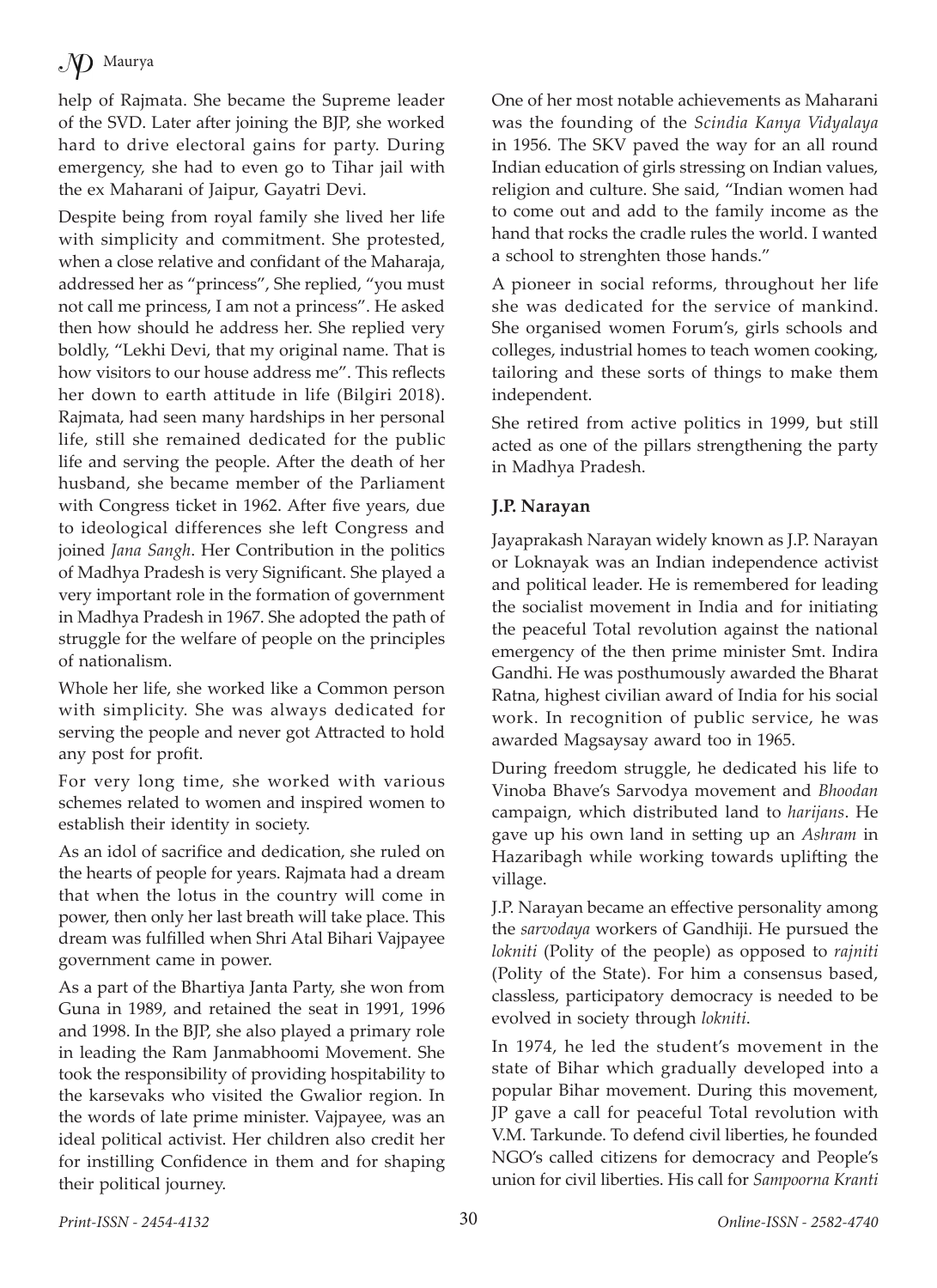help of Rajmata. She became the Supreme leader of the SVD. Later after joining the BJP, she worked hard to drive electoral gains for party. During emergency, she had to even go to Tihar jail with the ex Maharani of Jaipur, Gayatri Devi.

Despite being from royal family she lived her life with simplicity and commitment. She protested, when a close relative and confidant of the Maharaja, addressed her as "princess", She replied, "you must not call me princess, I am not a princess". He asked then how should he address her. She replied very boldly, "Lekhi Devi, that my original name. That is how visitors to our house address me". This reflects her down to earth attitude in life (Bilgiri 2018). Rajmata, had seen many hardships in her personal life, still she remained dedicated for the public life and serving the people. After the death of her husband, she became member of the Parliament with Congress ticket in 1962. After five years, due to ideological differences she left Congress and joined *Jana Sangh*. Her Contribution in the politics of Madhya Pradesh is very Significant. She played a very important role in the formation of government in Madhya Pradesh in 1967. She adopted the path of struggle for the welfare of people on the principles of nationalism.

Whole her life, she worked like a Common person with simplicity. She was always dedicated for serving the people and never got Attracted to hold any post for profit.

For very long time, she worked with various schemes related to women and inspired women to establish their identity in society.

As an idol of sacrifice and dedication, she ruled on the hearts of people for years. Rajmata had a dream that when the lotus in the country will come in power, then only her last breath will take place. This dream was fulfilled when Shri Atal Bihari Vajpayee government came in power.

As a part of the Bhartiya Janta Party, she won from Guna in 1989, and retained the seat in 1991, 1996 and 1998. In the BJP, she also played a primary role in leading the Ram Janmabhoomi Movement. She took the responsibility of providing hospitability to the karsevaks who visited the Gwalior region. In the words of late prime minister. Vajpayee, was an ideal political activist. Her children also credit her for instilling Confidence in them and for shaping their political journey.

One of her most notable achievements as Maharani was the founding of the *Scindia Kanya Vidyalaya* in 1956. The SKV paved the way for an all round Indian education of girls stressing on Indian values, religion and culture. She said, "Indian women had to come out and add to the family income as the hand that rocks the cradle rules the world. I wanted a school to strenghten those hands."

A pioneer in social reforms, throughout her life she was dedicated for the service of mankind. She organised women Forum's, girls schools and colleges, industrial homes to teach women cooking, tailoring and these sorts of things to make them independent.

She retired from active politics in 1999, but still acted as one of the pillars strengthening the party in Madhya Pradesh.

#### **J.P. Narayan**

Jayaprakash Narayan widely known as J.P. Narayan or Loknayak was an Indian independence activist and political leader. He is remembered for leading the socialist movement in India and for initiating the peaceful Total revolution against the national emergency of the then prime minister Smt. Indira Gandhi. He was posthumously awarded the Bharat Ratna, highest civilian award of India for his social work. In recognition of public service, he was awarded Magsaysay award too in 1965.

During freedom struggle, he dedicated his life to Vinoba Bhave's Sarvodya movement and *Bhoodan*  campaign, which distributed land to *harijans*. He gave up his own land in setting up an *Ashram* in Hazaribagh while working towards uplifting the village.

J.P. Narayan became an effective personality among the *sarvodaya* workers of Gandhiji. He pursued the *lokniti* (Polity of the people) as opposed to *rajniti*  (Polity of the State). For him a consensus based, classless, participatory democracy is needed to be evolved in society through *lokniti*.

In 1974, he led the student's movement in the state of Bihar which gradually developed into a popular Bihar movement. During this movement, JP gave a call for peaceful Total revolution with V.M. Tarkunde. To defend civil liberties, he founded NGO's called citizens for democracy and People's union for civil liberties. His call for *Sampoorna Kranti*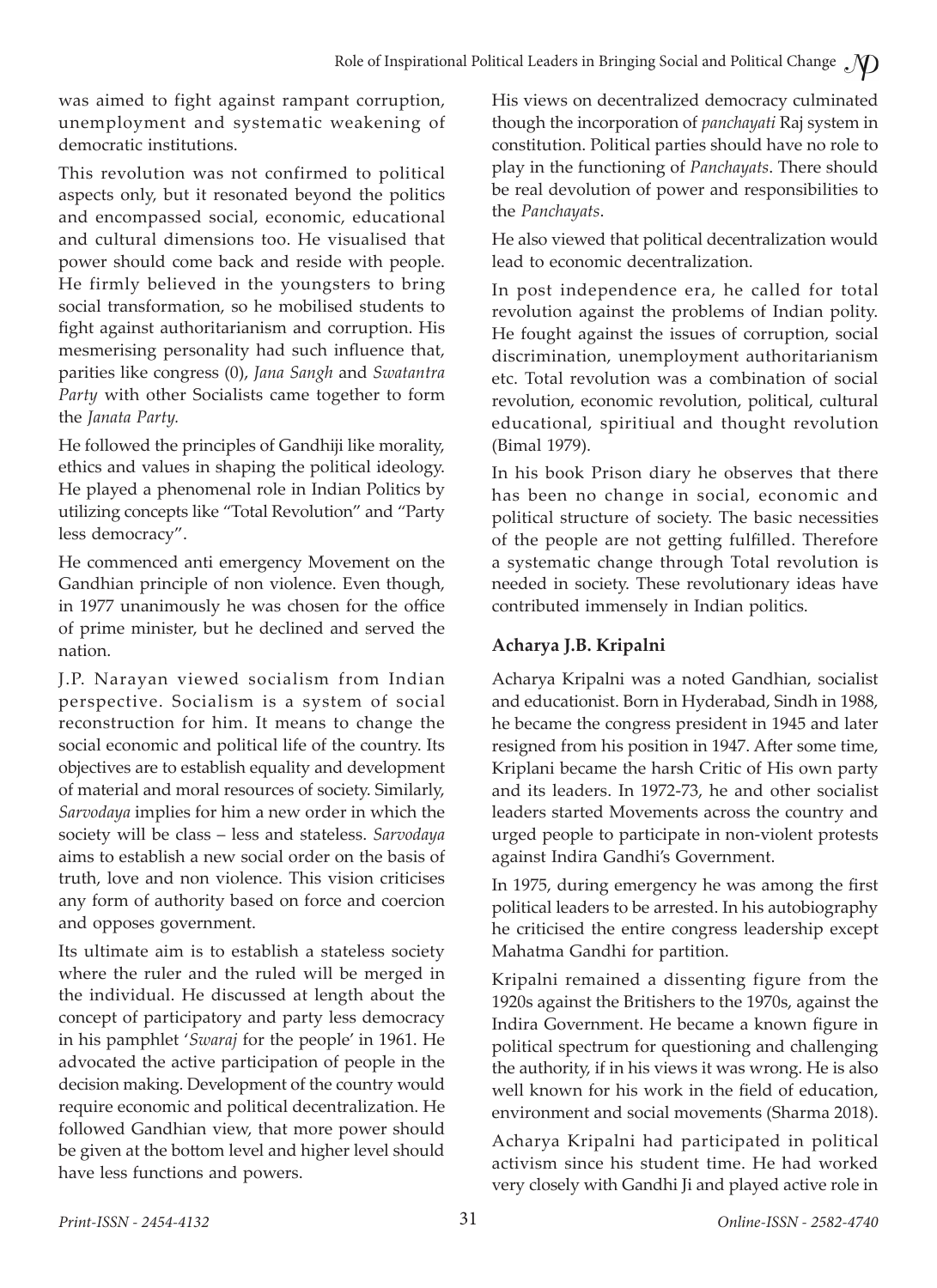was aimed to fight against rampant corruption, unemployment and systematic weakening of democratic institutions.

This revolution was not confirmed to political aspects only, but it resonated beyond the politics and encompassed social, economic, educational and cultural dimensions too. He visualised that power should come back and reside with people. He firmly believed in the youngsters to bring social transformation, so he mobilised students to fight against authoritarianism and corruption. His mesmerising personality had such influence that, parities like congress (0), *Jana Sangh* and *Swatantra Party* with other Socialists came together to form the *Janata Party.*

He followed the principles of Gandhiji like morality, ethics and values in shaping the political ideology. He played a phenomenal role in Indian Politics by utilizing concepts like "Total Revolution" and "Party less democracy".

He commenced anti emergency Movement on the Gandhian principle of non violence. Even though, in 1977 unanimously he was chosen for the office of prime minister, but he declined and served the nation.

J.P. Narayan viewed socialism from Indian perspective. Socialism is a system of social reconstruction for him. It means to change the social economic and political life of the country. Its objectives are to establish equality and development of material and moral resources of society. Similarly, *Sarvodaya* implies for him a new order in which the society will be class – less and stateless. *Sarvodaya* aims to establish a new social order on the basis of truth, love and non violence. This vision criticises any form of authority based on force and coercion and opposes government.

Its ultimate aim is to establish a stateless society where the ruler and the ruled will be merged in the individual. He discussed at length about the concept of participatory and party less democracy in his pamphlet '*Swaraj* for the people' in 1961. He advocated the active participation of people in the decision making. Development of the country would require economic and political decentralization. He followed Gandhian view, that more power should be given at the bottom level and higher level should have less functions and powers.

His views on decentralized democracy culminated though the incorporation of *panchayati* Raj system in constitution. Political parties should have no role to play in the functioning of *Panchayats*. There should be real devolution of power and responsibilities to the *Panchayats*.

He also viewed that political decentralization would lead to economic decentralization.

In post independence era, he called for total revolution against the problems of Indian polity. He fought against the issues of corruption, social discrimination, unemployment authoritarianism etc. Total revolution was a combination of social revolution, economic revolution, political, cultural educational, spiritiual and thought revolution (Bimal 1979).

In his book Prison diary he observes that there has been no change in social, economic and political structure of society. The basic necessities of the people are not getting fulfilled. Therefore a systematic change through Total revolution is needed in society. These revolutionary ideas have contributed immensely in Indian politics.

#### **Acharya J.B. Kripalni**

Acharya Kripalni was a noted Gandhian, socialist and educationist. Born in Hyderabad, Sindh in 1988, he became the congress president in 1945 and later resigned from his position in 1947. After some time, Kriplani became the harsh Critic of His own party and its leaders. In 1972-73, he and other socialist leaders started Movements across the country and urged people to participate in non-violent protests against Indira Gandhi's Government.

In 1975, during emergency he was among the first political leaders to be arrested. In his autobiography he criticised the entire congress leadership except Mahatma Gandhi for partition.

Kripalni remained a dissenting figure from the 1920s against the Britishers to the 1970s, against the Indira Government. He became a known figure in political spectrum for questioning and challenging the authority, if in his views it was wrong. He is also well known for his work in the field of education, environment and social movements (Sharma 2018).

Acharya Kripalni had participated in political activism since his student time. He had worked very closely with Gandhi Ji and played active role in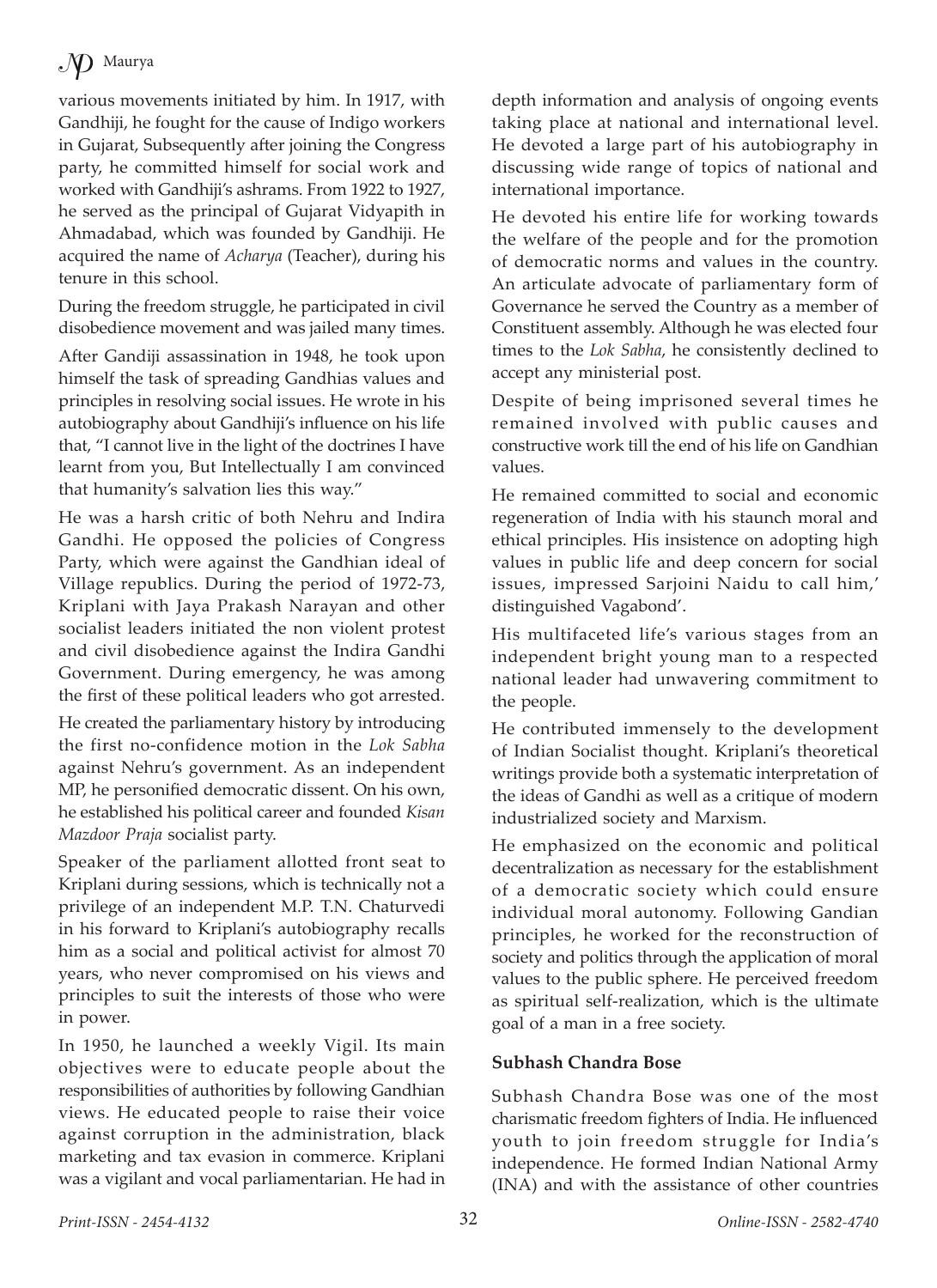various movements initiated by him. In 1917, with Gandhiji, he fought for the cause of Indigo workers in Gujarat, Subsequently after joining the Congress party, he committed himself for social work and worked with Gandhiji's ashrams. From 1922 to 1927, he served as the principal of Gujarat Vidyapith in Ahmadabad, which was founded by Gandhiji. He acquired the name of *Acharya* (Teacher), during his tenure in this school.

During the freedom struggle, he participated in civil disobedience movement and was jailed many times.

After Gandiji assassination in 1948, he took upon himself the task of spreading Gandhias values and principles in resolving social issues. He wrote in his autobiography about Gandhiji's influence on his life that, "I cannot live in the light of the doctrines I have learnt from you, But Intellectually I am convinced that humanity's salvation lies this way."

He was a harsh critic of both Nehru and Indira Gandhi. He opposed the policies of Congress Party, which were against the Gandhian ideal of Village republics. During the period of 1972-73, Kriplani with Jaya Prakash Narayan and other socialist leaders initiated the non violent protest and civil disobedience against the Indira Gandhi Government. During emergency, he was among the first of these political leaders who got arrested.

He created the parliamentary history by introducing the first no-confidence motion in the *Lok Sabha* against Nehru's government. As an independent MP, he personified democratic dissent. On his own, he established his political career and founded *Kisan Mazdoor Praja* socialist party.

Speaker of the parliament allotted front seat to Kriplani during sessions, which is technically not a privilege of an independent M.P. T.N. Chaturvedi in his forward to Kriplani's autobiography recalls him as a social and political activist for almost 70 years, who never compromised on his views and principles to suit the interests of those who were in power.

In 1950, he launched a weekly Vigil. Its main objectives were to educate people about the responsibilities of authorities by following Gandhian views. He educated people to raise their voice against corruption in the administration, black marketing and tax evasion in commerce. Kriplani was a vigilant and vocal parliamentarian. He had in depth information and analysis of ongoing events taking place at national and international level. He devoted a large part of his autobiography in discussing wide range of topics of national and international importance.

He devoted his entire life for working towards the welfare of the people and for the promotion of democratic norms and values in the country. An articulate advocate of parliamentary form of Governance he served the Country as a member of Constituent assembly. Although he was elected four times to the *Lok Sabha*, he consistently declined to accept any ministerial post.

Despite of being imprisoned several times he remained involved with public causes and constructive work till the end of his life on Gandhian values.

He remained committed to social and economic regeneration of India with his staunch moral and ethical principles. His insistence on adopting high values in public life and deep concern for social issues, impressed Sarjoini Naidu to call him,' distinguished Vagabond'.

His multifaceted life's various stages from an independent bright young man to a respected national leader had unwavering commitment to the people.

He contributed immensely to the development of Indian Socialist thought. Kriplani's theoretical writings provide both a systematic interpretation of the ideas of Gandhi as well as a critique of modern industrialized society and Marxism.

He emphasized on the economic and political decentralization as necessary for the establishment of a democratic society which could ensure individual moral autonomy. Following Gandian principles, he worked for the reconstruction of society and politics through the application of moral values to the public sphere. He perceived freedom as spiritual self-realization, which is the ultimate goal of a man in a free society.

#### **Subhash Chandra Bose**

Subhash Chandra Bose was one of the most charismatic freedom fighters of India. He influenced youth to join freedom struggle for India's independence. He formed Indian National Army (INA) and with the assistance of other countries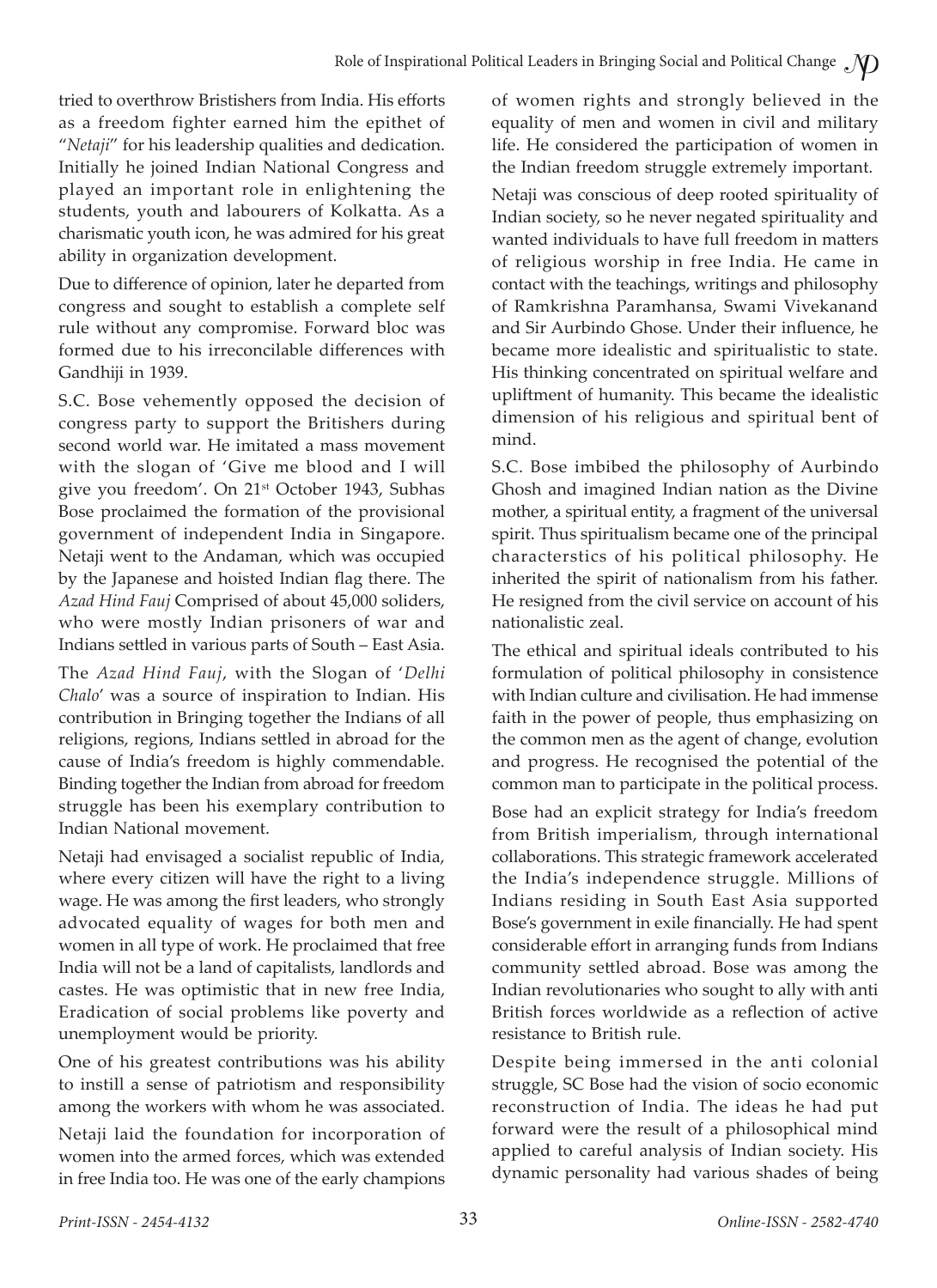tried to overthrow Bristishers from India. His efforts as a freedom fighter earned him the epithet of "*Netaji*" for his leadership qualities and dedication. Initially he joined Indian National Congress and played an important role in enlightening the students, youth and labourers of Kolkatta. As a charismatic youth icon, he was admired for his great ability in organization development.

Due to difference of opinion, later he departed from congress and sought to establish a complete self rule without any compromise. Forward bloc was formed due to his irreconcilable differences with Gandhiji in 1939.

S.C. Bose vehemently opposed the decision of congress party to support the Britishers during second world war. He imitated a mass movement with the slogan of 'Give me blood and I will give you freedom'. On 21<sup>st</sup> October 1943, Subhas Bose proclaimed the formation of the provisional government of independent India in Singapore. Netaji went to the Andaman, which was occupied by the Japanese and hoisted Indian flag there. The *Azad Hind Fauj* Comprised of about 45,000 soliders, who were mostly Indian prisoners of war and Indians settled in various parts of South – East Asia.

The *Azad Hind Fauj*, with the Slogan of '*Delhi Chalo*' was a source of inspiration to Indian. His contribution in Bringing together the Indians of all religions, regions, Indians settled in abroad for the cause of India's freedom is highly commendable. Binding together the Indian from abroad for freedom struggle has been his exemplary contribution to Indian National movement.

Netaji had envisaged a socialist republic of India, where every citizen will have the right to a living wage. He was among the first leaders, who strongly advocated equality of wages for both men and women in all type of work. He proclaimed that free India will not be a land of capitalists, landlords and castes. He was optimistic that in new free India, Eradication of social problems like poverty and unemployment would be priority.

One of his greatest contributions was his ability to instill a sense of patriotism and responsibility among the workers with whom he was associated.

Netaji laid the foundation for incorporation of women into the armed forces, which was extended in free India too. He was one of the early champions of women rights and strongly believed in the equality of men and women in civil and military life. He considered the participation of women in the Indian freedom struggle extremely important.

Netaji was conscious of deep rooted spirituality of Indian society, so he never negated spirituality and wanted individuals to have full freedom in matters of religious worship in free India. He came in contact with the teachings, writings and philosophy of Ramkrishna Paramhansa, Swami Vivekanand and Sir Aurbindo Ghose. Under their influence, he became more idealistic and spiritualistic to state. His thinking concentrated on spiritual welfare and upliftment of humanity. This became the idealistic dimension of his religious and spiritual bent of mind.

S.C. Bose imbibed the philosophy of Aurbindo Ghosh and imagined Indian nation as the Divine mother, a spiritual entity, a fragment of the universal spirit. Thus spiritualism became one of the principal characterstics of his political philosophy. He inherited the spirit of nationalism from his father. He resigned from the civil service on account of his nationalistic zeal.

The ethical and spiritual ideals contributed to his formulation of political philosophy in consistence with Indian culture and civilisation. He had immense faith in the power of people, thus emphasizing on the common men as the agent of change, evolution and progress. He recognised the potential of the common man to participate in the political process.

Bose had an explicit strategy for India's freedom from British imperialism, through international collaborations. This strategic framework accelerated the India's independence struggle. Millions of Indians residing in South East Asia supported Bose's government in exile financially. He had spent considerable effort in arranging funds from Indians community settled abroad. Bose was among the Indian revolutionaries who sought to ally with anti British forces worldwide as a reflection of active resistance to British rule.

Despite being immersed in the anti colonial struggle, SC Bose had the vision of socio economic reconstruction of India. The ideas he had put forward were the result of a philosophical mind applied to careful analysis of Indian society. His dynamic personality had various shades of being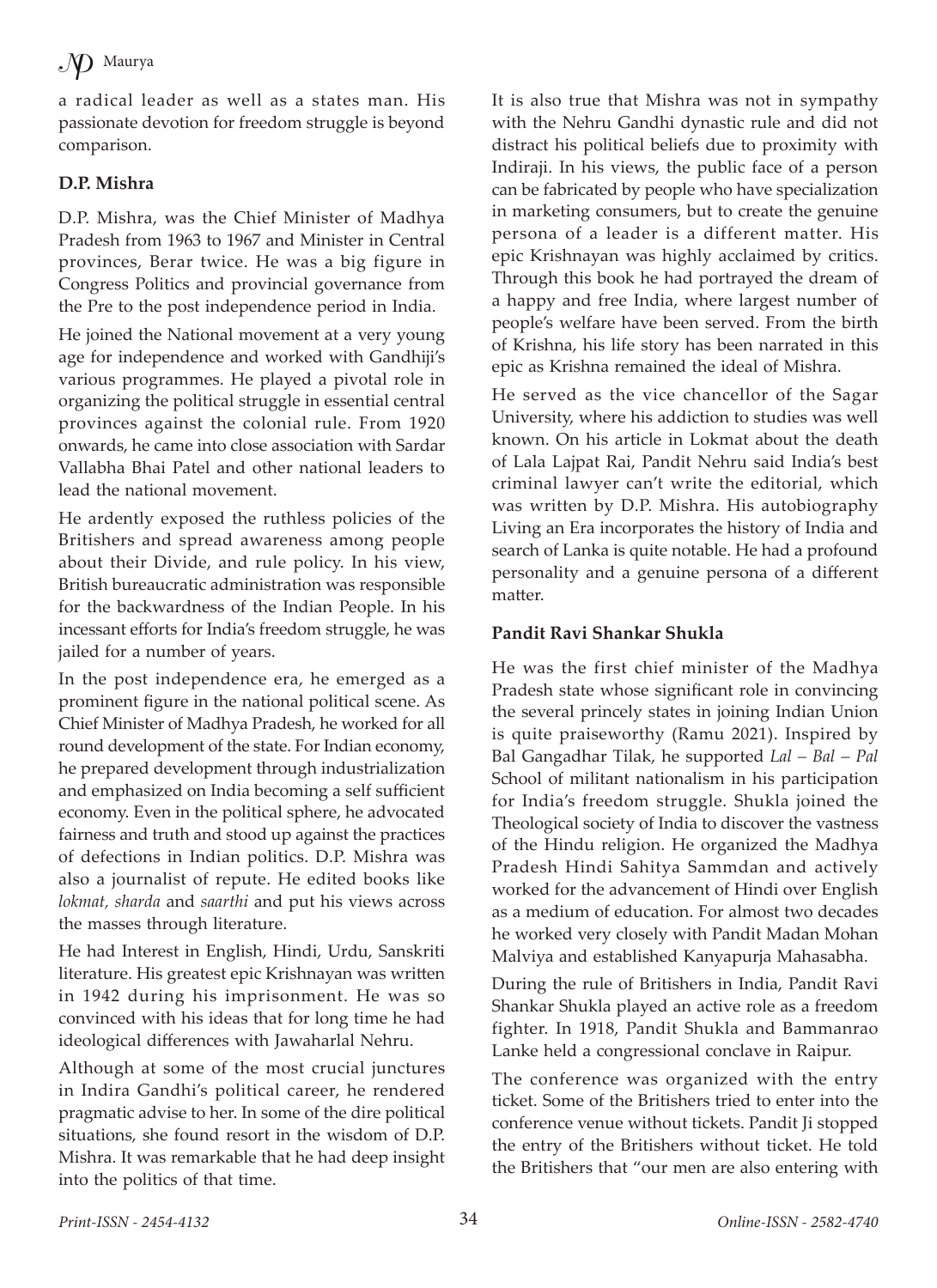a radical leader as well as a states man. His passionate devotion for freedom struggle is beyond comparison.

### **D.P. Mishra**

D.P. Mishra, was the Chief Minister of Madhya Pradesh from 1963 to 1967 and Minister in Central provinces, Berar twice. He was a big figure in Congress Politics and provincial governance from the Pre to the post independence period in India.

He joined the National movement at a very young age for independence and worked with Gandhiji's various programmes. He played a pivotal role in organizing the political struggle in essential central provinces against the colonial rule. From 1920 onwards, he came into close association with Sardar Vallabha Bhai Patel and other national leaders to lead the national movement.

He ardently exposed the ruthless policies of the Britishers and spread awareness among people about their Divide, and rule policy. In his view, British bureaucratic administration was responsible for the backwardness of the Indian People. In his incessant efforts for India's freedom struggle, he was jailed for a number of years.

In the post independence era, he emerged as a prominent figure in the national political scene. As Chief Minister of Madhya Pradesh, he worked for all round development of the state. For Indian economy, he prepared development through industrialization and emphasized on India becoming a self sufficient economy. Even in the political sphere, he advocated fairness and truth and stood up against the practices of defections in Indian politics. D.P. Mishra was also a journalist of repute. He edited books like *lokmat, sharda* and *saarthi* and put his views across the masses through literature.

He had Interest in English, Hindi, Urdu, Sanskriti literature. His greatest epic Krishnayan was written in 1942 during his imprisonment. He was so convinced with his ideas that for long time he had ideological differences with Jawaharlal Nehru.

Although at some of the most crucial junctures in Indira Gandhi's political career, he rendered pragmatic advise to her. In some of the dire political situations, she found resort in the wisdom of D.P. Mishra. It was remarkable that he had deep insight into the politics of that time.

It is also true that Mishra was not in sympathy with the Nehru Gandhi dynastic rule and did not distract his political beliefs due to proximity with Indiraji. In his views, the public face of a person can be fabricated by people who have specialization in marketing consumers, but to create the genuine persona of a leader is a different matter. His epic Krishnayan was highly acclaimed by critics. Through this book he had portrayed the dream of a happy and free India, where largest number of people's welfare have been served. From the birth of Krishna, his life story has been narrated in this epic as Krishna remained the ideal of Mishra.

He served as the vice chancellor of the Sagar University, where his addiction to studies was well known. On his article in Lokmat about the death of Lala Lajpat Rai, Pandit Nehru said India's best criminal lawyer can't write the editorial, which was written by D.P. Mishra. His autobiography Living an Era incorporates the history of India and search of Lanka is quite notable. He had a profound personality and a genuine persona of a different matter.

#### **Pandit Ravi Shankar Shukla**

He was the first chief minister of the Madhya Pradesh state whose significant role in convincing the several princely states in joining Indian Union is quite praiseworthy (Ramu 2021). Inspired by Bal Gangadhar Tilak, he supported *Lal – Bal – Pal* School of militant nationalism in his participation for India's freedom struggle. Shukla joined the Theological society of India to discover the vastness of the Hindu religion. He organized the Madhya Pradesh Hindi Sahitya Sammdan and actively worked for the advancement of Hindi over English as a medium of education. For almost two decades he worked very closely with Pandit Madan Mohan Malviya and established Kanyapurja Mahasabha.

During the rule of Britishers in India, Pandit Ravi Shankar Shukla played an active role as a freedom fighter. In 1918, Pandit Shukla and Bammanrao Lanke held a congressional conclave in Raipur.

The conference was organized with the entry ticket. Some of the Britishers tried to enter into the conference venue without tickets. Pandit Ji stopped the entry of the Britishers without ticket. He told the Britishers that "our men are also entering with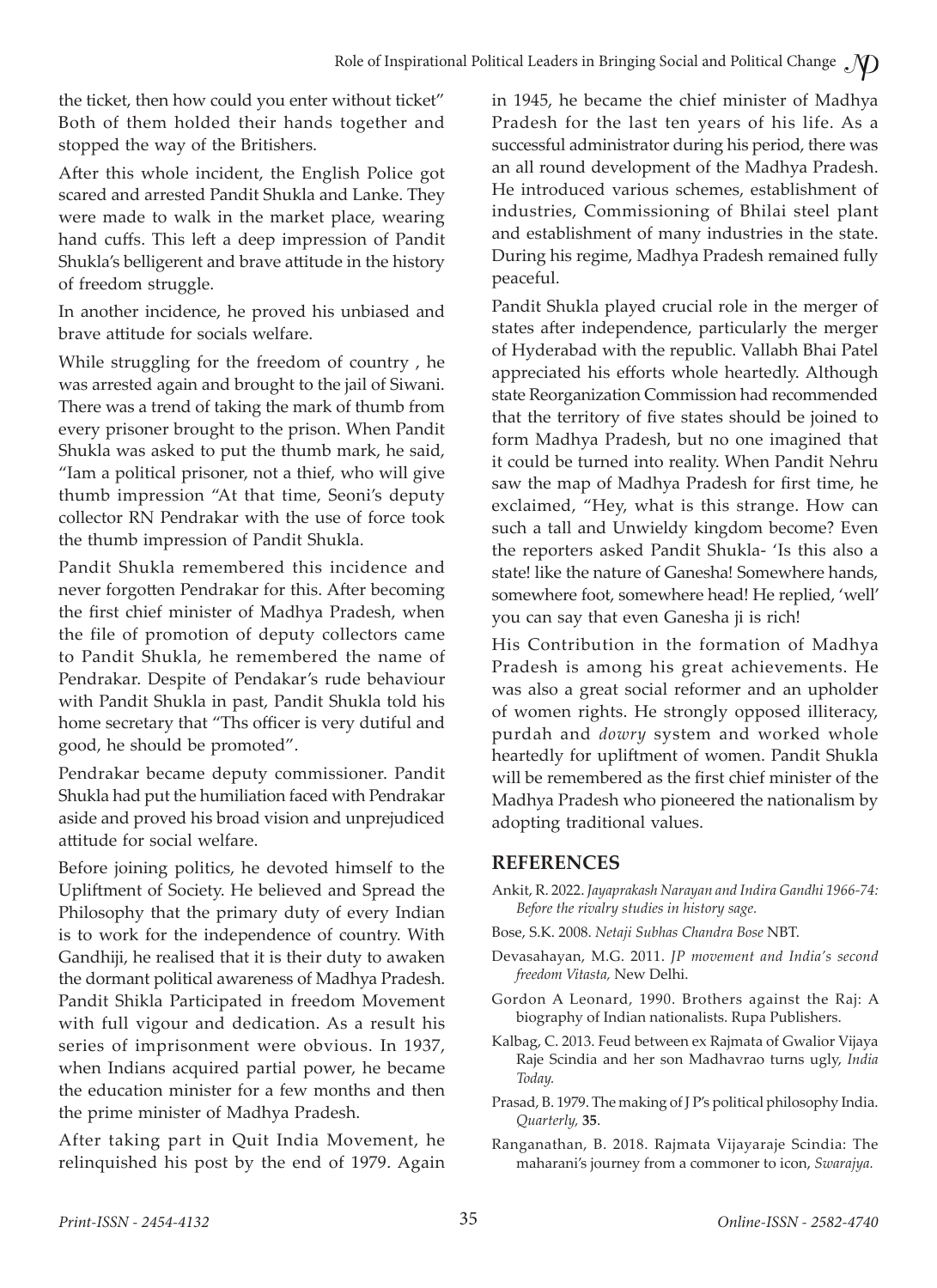the ticket, then how could you enter without ticket" Both of them holded their hands together and stopped the way of the Britishers.

After this whole incident, the English Police got scared and arrested Pandit Shukla and Lanke. They were made to walk in the market place, wearing hand cuffs. This left a deep impression of Pandit Shukla's belligerent and brave attitude in the history of freedom struggle.

In another incidence, he proved his unbiased and brave attitude for socials welfare.

While struggling for the freedom of country , he was arrested again and brought to the jail of Siwani. There was a trend of taking the mark of thumb from every prisoner brought to the prison. When Pandit Shukla was asked to put the thumb mark, he said, "Iam a political prisoner, not a thief, who will give thumb impression "At that time, Seoni's deputy collector RN Pendrakar with the use of force took the thumb impression of Pandit Shukla.

Pandit Shukla remembered this incidence and never forgotten Pendrakar for this. After becoming the first chief minister of Madhya Pradesh, when the file of promotion of deputy collectors came to Pandit Shukla, he remembered the name of Pendrakar. Despite of Pendakar's rude behaviour with Pandit Shukla in past, Pandit Shukla told his home secretary that "Ths officer is very dutiful and good, he should be promoted".

Pendrakar became deputy commissioner. Pandit Shukla had put the humiliation faced with Pendrakar aside and proved his broad vision and unprejudiced attitude for social welfare.

Before joining politics, he devoted himself to the Upliftment of Society. He believed and Spread the Philosophy that the primary duty of every Indian is to work for the independence of country. With Gandhiji, he realised that it is their duty to awaken the dormant political awareness of Madhya Pradesh. Pandit Shikla Participated in freedom Movement with full vigour and dedication. As a result his series of imprisonment were obvious. In 1937, when Indians acquired partial power, he became the education minister for a few months and then the prime minister of Madhya Pradesh.

After taking part in Quit India Movement, he relinquished his post by the end of 1979. Again in 1945, he became the chief minister of Madhya Pradesh for the last ten years of his life. As a successful administrator during his period, there was an all round development of the Madhya Pradesh. He introduced various schemes, establishment of industries, Commissioning of Bhilai steel plant and establishment of many industries in the state. During his regime, Madhya Pradesh remained fully peaceful.

Pandit Shukla played crucial role in the merger of states after independence, particularly the merger of Hyderabad with the republic. Vallabh Bhai Patel appreciated his efforts whole heartedly. Although state Reorganization Commission had recommended that the territory of five states should be joined to form Madhya Pradesh, but no one imagined that it could be turned into reality. When Pandit Nehru saw the map of Madhya Pradesh for first time, he exclaimed, "Hey, what is this strange. How can such a tall and Unwieldy kingdom become? Even the reporters asked Pandit Shukla- 'Is this also a state! like the nature of Ganesha! Somewhere hands, somewhere foot, somewhere head! He replied, 'well' you can say that even Ganesha ji is rich!

His Contribution in the formation of Madhya Pradesh is among his great achievements. He was also a great social reformer and an upholder of women rights. He strongly opposed illiteracy, purdah and *dowry* system and worked whole heartedly for upliftment of women. Pandit Shukla will be remembered as the first chief minister of the Madhya Pradesh who pioneered the nationalism by adopting traditional values.

#### **REFERENCES**

- Ankit, R. 2022. *Jayaprakash Narayan and Indira Gandhi 1966-74: Before the rivalry studies in history sage.*
- Bose, S.K. 2008. *Netaji Subhas Chandra Bose* NBT.
- Devasahayan, M.G. 2011. *JP movement and India's second freedom Vitasta,* New Delhi.
- Gordon A Leonard, 1990. Brothers against the Raj: A biography of Indian nationalists. Rupa Publishers.
- Kalbag, C. 2013. Feud between ex Rajmata of Gwalior Vijaya Raje Scindia and her son Madhavrao turns ugly, *India Today.*
- Prasad, B. 1979. The making of J P's political philosophy India. *Quarterly,* **35**.
- Ranganathan, B. 2018. Rajmata Vijayaraje Scindia: The maharani's journey from a commoner to icon, *Swarajya.*